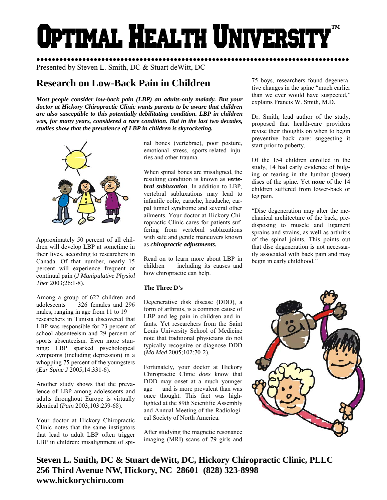# Optimal Health Universit **™**

●●●●●●●●●●●●●●●●●●●●●●●●●●●●●●●●●●●●●●●●●●●●●●●●●●●●●●●●●●●●●●●●●●●●●●●●●●●●●●●●●● Presented by Steven L. Smith, DC & Stuart deWitt, DC

## **Research on Low-Back Pain in Children**

*Most people consider low-back pain (LBP) an adults-only malady. But your doctor at Hickory Chiropractic Clinic wants parents to be aware that children are also susceptible to this potentially debilitating condition. LBP in children was, for many years, considered a rare condition. But in the last two decades, studies show that the prevalence of LBP in children is skyrocketing.* 



Approximately 50 percent of all children will develop LBP at sometime in their lives, according to researchers in Canada. Of that number, nearly 15 percent will experience frequent or continual pain (*J Manipulative Physiol Ther* 2003;26:1-8).

Among a group of 622 children and adolescents — 326 females and 296 males, ranging in age from 11 to 19 researchers in Tunisia discovered that LBP was responsible for 23 percent of school absenteeism and 29 percent of sports absenteeism. Even more stunning: LBP sparked psychological symptoms (including depression) in a whopping 75 percent of the youngsters (*Eur Spine J* 2005;14:331-6).

Another study shows that the prevalence of LBP among adolescents and adults throughout Europe is virtually identical (*Pain* 2003;103:259-68).

Your doctor at Hickory Chiropractic Clinic notes that the same instigators that lead to adult LBP often trigger LBP in children: misalignment of spinal bones (vertebrae), poor posture, emotional stress, sports-related injuries and other trauma.

When spinal bones are misaligned, the resulting condition is known as *vertebral subluxation*. In addition to LBP, vertebral subluxations may lead to infantile colic, earache, headache, carpal tunnel syndrome and several other ailments. Your doctor at Hickory Chiropractic Clinic cares for patients suffering from vertebral subluxations with safe and gentle maneuvers known as *chiropractic adjustments***.** 

Read on to learn more about LBP in children — including its causes and how chiropractic can help.

### **The Three D's**

Degenerative disk disease (DDD), a form of arthritis, is a common cause of LBP and leg pain in children and infants. Yet researchers from the Saint Louis University School of Medicine note that traditional physicians do not typically recognize or diagnose DDD (*Mo Med* 2005;102:70-2).

Fortunately, your doctor at Hickory Chiropractic Clinic *does* know that DDD may onset at a much younger age — and is more prevalent than was once thought. This fact was highlighted at the 89th Scientific Assembly and Annual Meeting of the Radiological Society of North America.

After studying the magnetic resonance imaging (MRI) scans of 79 girls and 75 boys, researchers found degenerative changes in the spine "much earlier than we ever would have suspected," explains Francis W. Smith, M.D.

Dr. Smith, lead author of the study, proposed that health-care providers revise their thoughts on when to begin preventive back care: suggesting it start prior to puberty.

Of the 154 children enrolled in the study, 14 had early evidence of bulging or tearing in the lumbar (lower) discs of the spine. Yet *none* of the 14 children suffered from lower-back or leg pain.

"Disc degeneration may alter the mechanical architecture of the back, predisposing to muscle and ligament sprains and strains, as well as arthritis of the spinal joints. This points out that disc degeneration is not necessarily associated with back pain and may begin in early childhood."



**Steven L. Smith, DC & Stuart deWitt, DC, Hickory Chiropractic Clinic, PLLC 256 Third Avenue NW, Hickory, NC 28601 (828) 323-8998 www.hickorychiro.com**